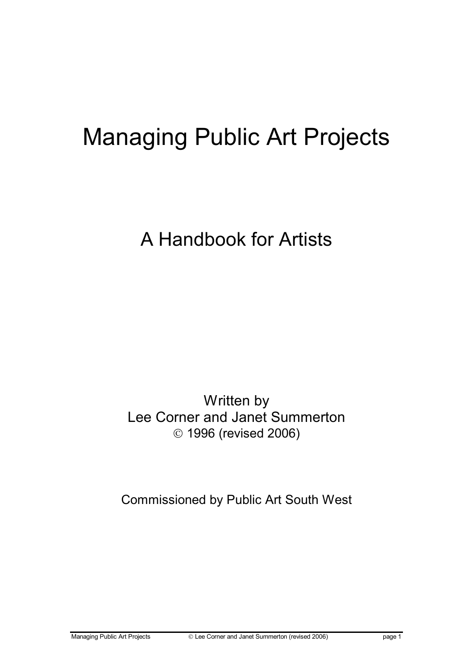# Managing Public Art Projects

A Handbook for Artists

Written by Lee Corner and Janet Summerton 1996 (revised 2006)

Commissioned by Public Art South West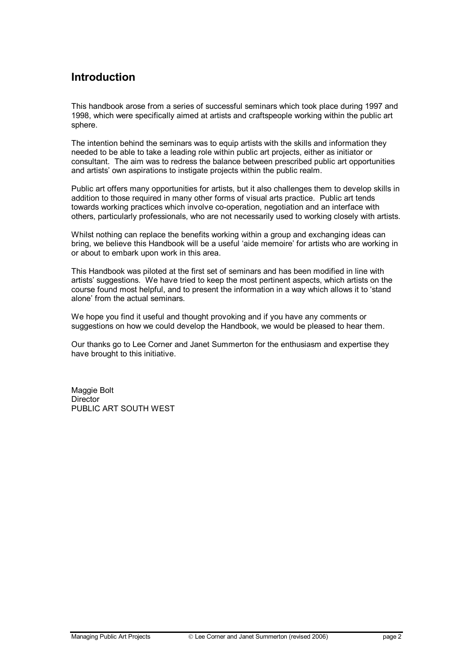# Introduction

This handbook arose from a series of successful seminars which took place during 1997 and 1998, which were specifically aimed at artists and craftspeople working within the public art sphere.

The intention behind the seminars was to equip artists with the skills and information they needed to be able to take a leading role within public art projects, either as initiator or consultant. The aim was to redress the balance between prescribed public art opportunities and artists' own aspirations to instigate projects within the public realm.

Public art offers many opportunities for artists, but it also challenges them to develop skills in addition to those required in many other forms of visual arts practice. Public art tends towards working practices which involve co-operation, negotiation and an interface with others, particularly professionals, who are not necessarily used to working closely with artists.

Whilst nothing can replace the benefits working within a group and exchanging ideas can bring, we believe this Handbook will be a useful 'aide memoire' for artists who are working in or about to embark upon work in this area.

This Handbook was piloted at the first set of seminars and has been modified in line with artists' suggestions. We have tried to keep the most pertinent aspects, which artists on the course found most helpful, and to present the information in a way which allows it to 'stand alone' from the actual seminars.

We hope you find it useful and thought provoking and if you have any comments or suggestions on how we could develop the Handbook, we would be pleased to hear them.

Our thanks go to Lee Corner and Janet Summerton for the enthusiasm and expertise they have brought to this initiative.

Maggie Bolt **Director** PUBLIC ART SOUTH WEST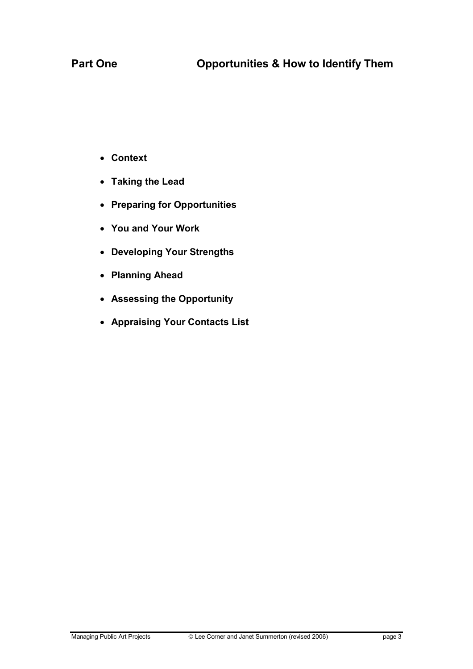- Context
- Taking the Lead
- Preparing for Opportunities
- You and Your Work
- Developing Your Strengths
- Planning Ahead
- Assessing the Opportunity
- Appraising Your Contacts List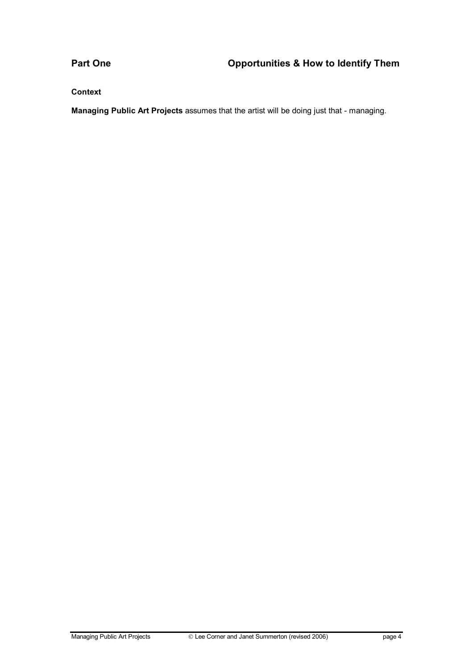**Context** 

Managing Public Art Projects assumes that the artist will be doing just that - managing.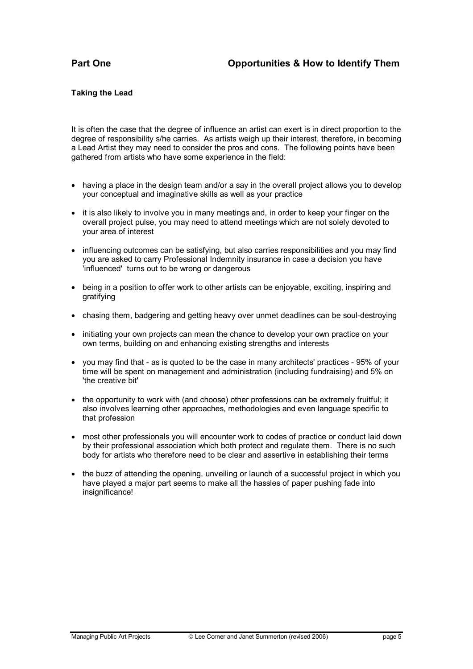### Taking the Lead

It is often the case that the degree of influence an artist can exert is in direct proportion to the degree of responsibility s/he carries. As artists weigh up their interest, therefore, in becoming a Lead Artist they may need to consider the pros and cons. The following points have been gathered from artists who have some experience in the field:

- having a place in the design team and/or a say in the overall project allows you to develop your conceptual and imaginative skills as well as your practice
- it is also likely to involve you in many meetings and, in order to keep your finger on the overall project pulse, you may need to attend meetings which are not solely devoted to your area of interest
- influencing outcomes can be satisfying, but also carries responsibilities and you may find you are asked to carry Professional Indemnity insurance in case a decision you have 'influenced' turns out to be wrong or dangerous
- being in a position to offer work to other artists can be enjoyable, exciting, inspiring and gratifying
- chasing them, badgering and getting heavy over unmet deadlines can be soul-destroying
- initiating your own projects can mean the chance to develop your own practice on your own terms, building on and enhancing existing strengths and interests
- you may find that as is quoted to be the case in many architects' practices 95% of your time will be spent on management and administration (including fundraising) and 5% on 'the creative bit'
- the opportunity to work with (and choose) other professions can be extremely fruitful; it also involves learning other approaches, methodologies and even language specific to that profession
- most other professionals you will encounter work to codes of practice or conduct laid down by their professional association which both protect and regulate them. There is no such body for artists who therefore need to be clear and assertive in establishing their terms
- the buzz of attending the opening, unveiling or launch of a successful project in which you have played a major part seems to make all the hassles of paper pushing fade into insignificance!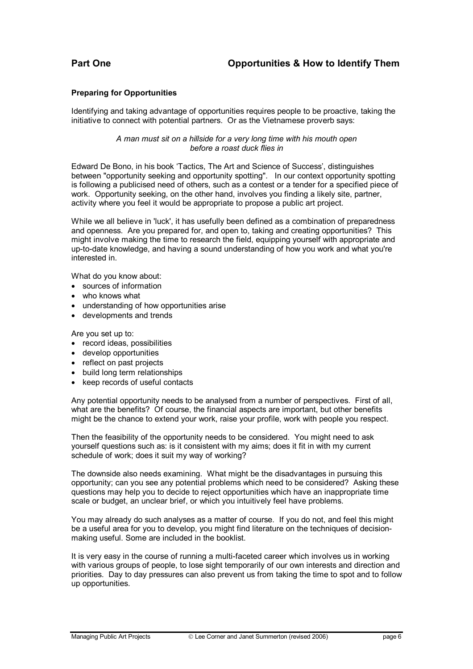#### Preparing for Opportunities

Identifying and taking advantage of opportunities requires people to be proactive, taking the initiative to connect with potential partners. Or as the Vietnamese proverb says:

> A man must sit on a hillside for a very long time with his mouth open before a roast duck flies in

Edward De Bono, in his book 'Tactics, The Art and Science of Success', distinguishes between "opportunity seeking and opportunity spotting". In our context opportunity spotting is following a publicised need of others, such as a contest or a tender for a specified piece of work. Opportunity seeking, on the other hand, involves you finding a likely site, partner, activity where you feel it would be appropriate to propose a public art project.

While we all believe in 'luck', it has usefully been defined as a combination of preparedness and openness. Are you prepared for, and open to, taking and creating opportunities? This might involve making the time to research the field, equipping yourself with appropriate and up-to-date knowledge, and having a sound understanding of how you work and what you're interested in.

What do you know about:

- sources of information
- who knows what
- understanding of how opportunities arise
- developments and trends

Are you set up to:

- record ideas, possibilities
- develop opportunities
- reflect on past projects
- build long term relationships
- keep records of useful contacts

Any potential opportunity needs to be analysed from a number of perspectives. First of all, what are the benefits? Of course, the financial aspects are important, but other benefits might be the chance to extend your work, raise your profile, work with people you respect.

Then the feasibility of the opportunity needs to be considered. You might need to ask yourself questions such as: is it consistent with my aims; does it fit in with my current schedule of work; does it suit my way of working?

The downside also needs examining. What might be the disadvantages in pursuing this opportunity; can you see any potential problems which need to be considered? Asking these questions may help you to decide to reject opportunities which have an inappropriate time scale or budget, an unclear brief, or which you intuitively feel have problems.

You may already do such analyses as a matter of course. If you do not, and feel this might be a useful area for you to develop, you might find literature on the techniques of decisionmaking useful. Some are included in the booklist.

It is very easy in the course of running a multi-faceted career which involves us in working with various groups of people, to lose sight temporarily of our own interests and direction and priorities. Day to day pressures can also prevent us from taking the time to spot and to follow up opportunities.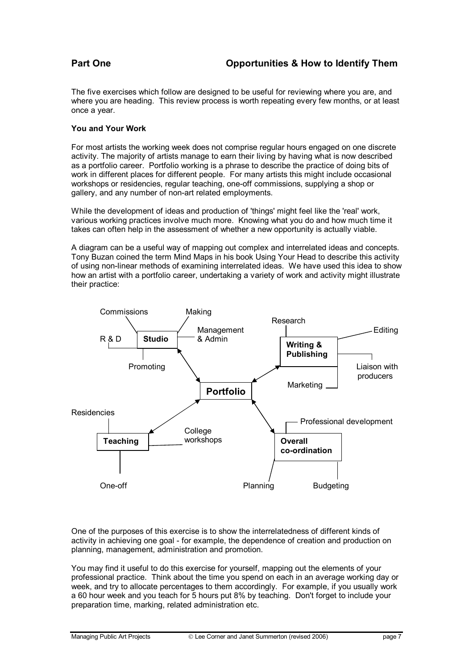The five exercises which follow are designed to be useful for reviewing where you are, and where you are heading. This review process is worth repeating every few months, or at least once a year.

#### You and Your Work

For most artists the working week does not comprise regular hours engaged on one discrete activity. The majority of artists manage to earn their living by having what is now described as a portfolio career. Portfolio working is a phrase to describe the practice of doing bits of work in different places for different people. For many artists this might include occasional workshops or residencies, regular teaching, one-off commissions, supplying a shop or gallery, and any number of non-art related employments.

While the development of ideas and production of 'things' might feel like the 'real' work, various working practices involve much more. Knowing what you do and how much time it takes can often help in the assessment of whether a new opportunity is actually viable.

A diagram can be a useful way of mapping out complex and interrelated ideas and concepts. Tony Buzan coined the term Mind Maps in his book Using Your Head to describe this activity of using non-linear methods of examining interrelated ideas. We have used this idea to show how an artist with a portfolio career, undertaking a variety of work and activity might illustrate their practice:



One of the purposes of this exercise is to show the interrelatedness of different kinds of activity in achieving one goal - for example, the dependence of creation and production on planning, management, administration and promotion.

You may find it useful to do this exercise for yourself, mapping out the elements of your professional practice. Think about the time you spend on each in an average working day or week, and try to allocate percentages to them accordingly. For example, if you usually work a 60 hour week and you teach for 5 hours put 8% by teaching. Don't forget to include your preparation time, marking, related administration etc.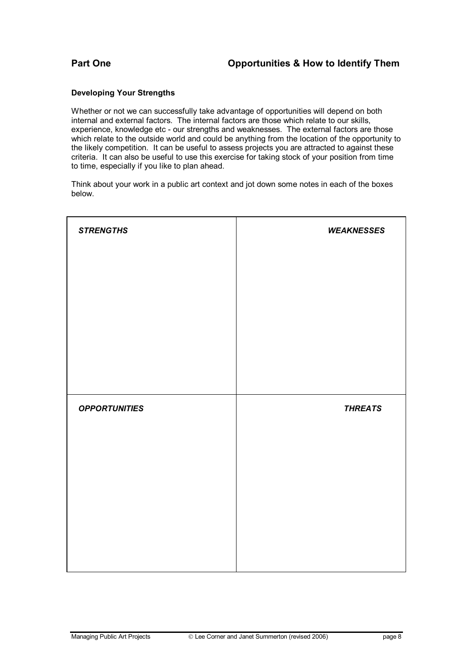#### Developing Your Strengths

Whether or not we can successfully take advantage of opportunities will depend on both internal and external factors. The internal factors are those which relate to our skills, experience, knowledge etc - our strengths and weaknesses. The external factors are those which relate to the outside world and could be anything from the location of the opportunity to the likely competition. It can be useful to assess projects you are attracted to against these criteria. It can also be useful to use this exercise for taking stock of your position from time to time, especially if you like to plan ahead.

Think about your work in a public art context and jot down some notes in each of the boxes below.

| <b>STRENGTHS</b>     | <b>WEAKNESSES</b> |  |
|----------------------|-------------------|--|
|                      |                   |  |
|                      |                   |  |
|                      |                   |  |
|                      |                   |  |
|                      |                   |  |
| <b>OPPORTUNITIES</b> | <b>THREATS</b>    |  |
|                      |                   |  |
|                      |                   |  |
|                      |                   |  |
|                      |                   |  |
|                      |                   |  |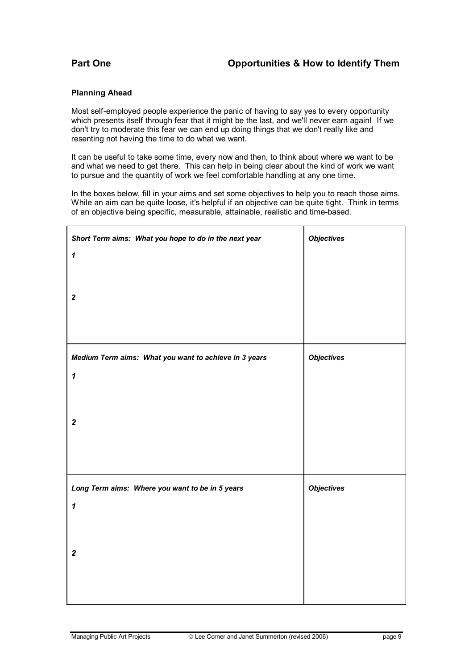#### Planning Ahead

Most self-employed people experience the panic of having to say yes to every opportunity which presents itself through fear that it might be the last, and we'll never earn again! If we don't try to moderate this fear we can end up doing things that we don't really like and resenting not having the time to do what we want.

It can be useful to take some time, every now and then, to think about where we want to be and what we need to get there. This can help in being clear about the kind of work we want to pursue and the quantity of work we feel comfortable handling at any one time.

In the boxes below, fill in your aims and set some objectives to help you to reach those aims. While an aim can be quite loose, it's helpful if an objective can be quite tight. Think in terms of an objective being specific, measurable, attainable, realistic and time-based.

| Short Term aims: What you hope to do in the next year<br>$\mathbf{1}$ | <b>Objectives</b> |
|-----------------------------------------------------------------------|-------------------|
|                                                                       |                   |
| $\boldsymbol{2}$                                                      |                   |
|                                                                       |                   |
| Medium Term aims: What you want to achieve in 3 years                 | <b>Objectives</b> |
| $\boldsymbol{\mathcal{L}}$                                            |                   |
|                                                                       |                   |
| $\overline{2}$                                                        |                   |
|                                                                       |                   |
| Long Term aims: Where you want to be in 5 years                       | <b>Objectives</b> |
| $\boldsymbol{\mathcal{L}}$                                            |                   |
|                                                                       |                   |
| $\overline{2}$                                                        |                   |
|                                                                       |                   |
|                                                                       |                   |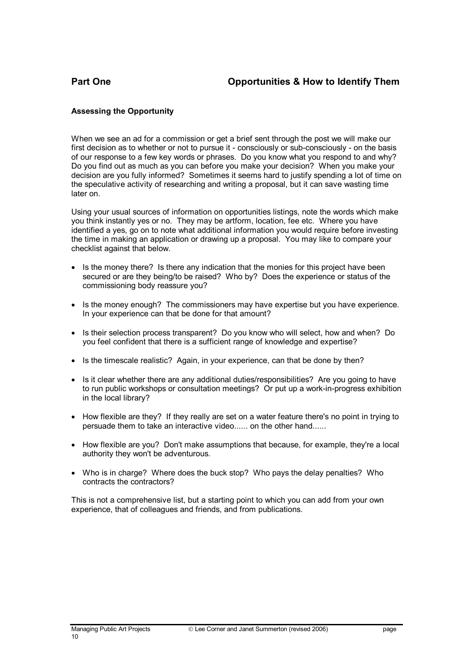### Assessing the Opportunity

When we see an ad for a commission or get a brief sent through the post we will make our first decision as to whether or not to pursue it - consciously or sub-consciously - on the basis of our response to a few key words or phrases. Do you know what you respond to and why? Do you find out as much as you can before you make your decision? When you make your decision are you fully informed? Sometimes it seems hard to justify spending a lot of time on the speculative activity of researching and writing a proposal, but it can save wasting time later on.

Using your usual sources of information on opportunities listings, note the words which make you think instantly yes or no. They may be artform, location, fee etc. Where you have identified a yes, go on to note what additional information you would require before investing the time in making an application or drawing up a proposal. You may like to compare your checklist against that below.

- Is the money there? Is there any indication that the monies for this project have been secured or are they being/to be raised? Who by? Does the experience or status of the commissioning body reassure you?
- Is the money enough? The commissioners may have expertise but you have experience. In your experience can that be done for that amount?
- Is their selection process transparent? Do you know who will select, how and when? Do you feel confident that there is a sufficient range of knowledge and expertise?
- Is the timescale realistic? Again, in your experience, can that be done by then?
- Is it clear whether there are any additional duties/responsibilities? Are you going to have to run public workshops or consultation meetings? Or put up a work-in-progress exhibition in the local library?
- How flexible are they? If they really are set on a water feature there's no point in trying to persuade them to take an interactive video...... on the other hand......
- How flexible are you? Don't make assumptions that because, for example, they're a local authority they won't be adventurous.
- Who is in charge? Where does the buck stop? Who pays the delay penalties? Who contracts the contractors?

This is not a comprehensive list, but a starting point to which you can add from your own experience, that of colleagues and friends, and from publications.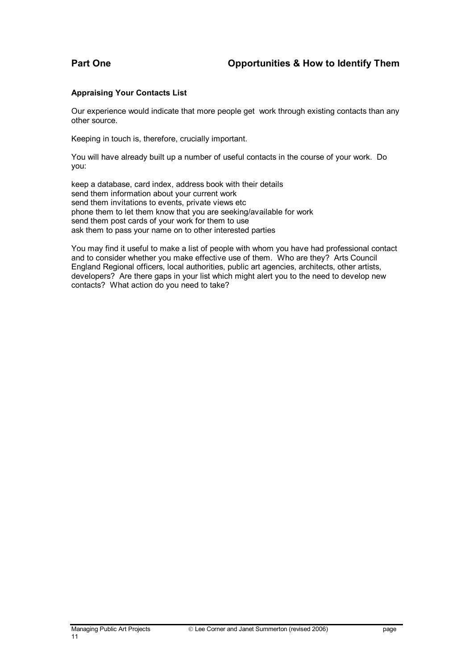### Appraising Your Contacts List

Our experience would indicate that more people get work through existing contacts than any other source.

Keeping in touch is, therefore, crucially important.

You will have already built up a number of useful contacts in the course of your work. Do you:

keep a database, card index, address book with their details send them information about your current work send them invitations to events, private views etc phone them to let them know that you are seeking/available for work send them post cards of your work for them to use ask them to pass your name on to other interested parties

You may find it useful to make a list of people with whom you have had professional contact and to consider whether you make effective use of them. Who are they? Arts Council England Regional officers, local authorities, public art agencies, architects, other artists, developers? Are there gaps in your list which might alert you to the need to develop new contacts? What action do you need to take?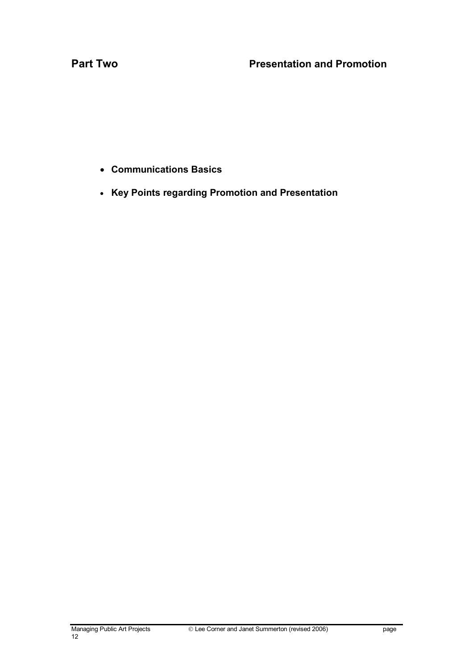- Communications Basics
- Key Points regarding Promotion and Presentation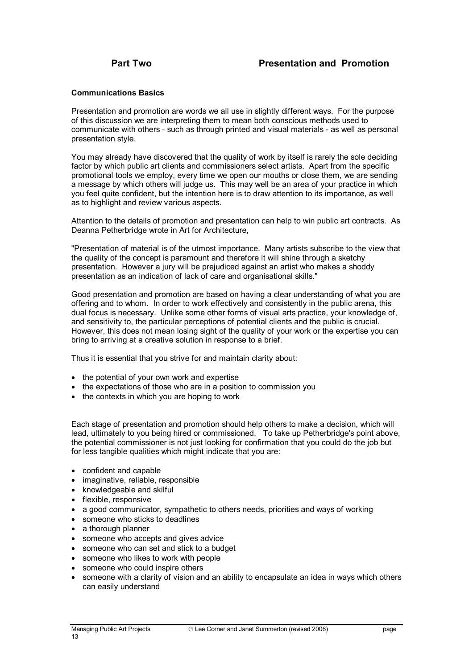#### Communications Basics

Presentation and promotion are words we all use in slightly different ways. For the purpose of this discussion we are interpreting them to mean both conscious methods used to communicate with others - such as through printed and visual materials - as well as personal presentation style.

You may already have discovered that the quality of work by itself is rarely the sole deciding factor by which public art clients and commissioners select artists. Apart from the specific promotional tools we employ, every time we open our mouths or close them, we are sending a message by which others will judge us. This may well be an area of your practice in which you feel quite confident, but the intention here is to draw attention to its importance, as well as to highlight and review various aspects.

Attention to the details of promotion and presentation can help to win public art contracts. As Deanna Petherbridge wrote in Art for Architecture,

"Presentation of material is of the utmost importance. Many artists subscribe to the view that the quality of the concept is paramount and therefore it will shine through a sketchy presentation. However a jury will be prejudiced against an artist who makes a shoddy presentation as an indication of lack of care and organisational skills."

Good presentation and promotion are based on having a clear understanding of what you are offering and to whom. In order to work effectively and consistently in the public arena, this dual focus is necessary. Unlike some other forms of visual arts practice, your knowledge of, and sensitivity to, the particular perceptions of potential clients and the public is crucial. However, this does not mean losing sight of the quality of your work or the expertise you can bring to arriving at a creative solution in response to a brief.

Thus it is essential that you strive for and maintain clarity about:

- the potential of your own work and expertise
- the expectations of those who are in a position to commission you
- the contexts in which you are hoping to work

Each stage of presentation and promotion should help others to make a decision, which will lead, ultimately to you being hired or commissioned. To take up Petherbridge's point above, the potential commissioner is not just looking for confirmation that you could do the job but for less tangible qualities which might indicate that you are:

- confident and capable
- imaginative, reliable, responsible
- knowledgeable and skilful
- flexible, responsive
- a good communicator, sympathetic to others needs, priorities and ways of working
- someone who sticks to deadlines
- a thorough planner
- someone who accepts and gives advice
- someone who can set and stick to a budget
- someone who likes to work with people
- someone who could inspire others
- someone with a clarity of vision and an ability to encapsulate an idea in ways which others can easily understand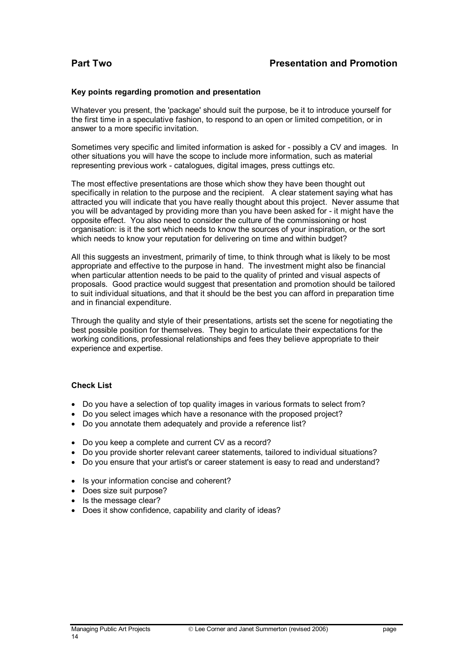#### Key points regarding promotion and presentation

Whatever you present, the 'package' should suit the purpose, be it to introduce yourself for the first time in a speculative fashion, to respond to an open or limited competition, or in answer to a more specific invitation.

Sometimes very specific and limited information is asked for - possibly a CV and images. In other situations you will have the scope to include more information, such as material representing previous work - catalogues, digital images, press cuttings etc.

The most effective presentations are those which show they have been thought out specifically in relation to the purpose and the recipient. A clear statement saying what has attracted you will indicate that you have really thought about this project. Never assume that you will be advantaged by providing more than you have been asked for - it might have the opposite effect. You also need to consider the culture of the commissioning or host organisation: is it the sort which needs to know the sources of your inspiration, or the sort which needs to know your reputation for delivering on time and within budget?

All this suggests an investment, primarily of time, to think through what is likely to be most appropriate and effective to the purpose in hand. The investment might also be financial when particular attention needs to be paid to the quality of printed and visual aspects of proposals. Good practice would suggest that presentation and promotion should be tailored to suit individual situations, and that it should be the best you can afford in preparation time and in financial expenditure.

Through the quality and style of their presentations, artists set the scene for negotiating the best possible position for themselves. They begin to articulate their expectations for the working conditions, professional relationships and fees they believe appropriate to their experience and expertise.

#### Check List

- Do you have a selection of top quality images in various formats to select from?
- Do you select images which have a resonance with the proposed project?
- Do you annotate them adequately and provide a reference list?
- Do you keep a complete and current CV as a record?
- Do you provide shorter relevant career statements, tailored to individual situations?
- Do you ensure that your artist's or career statement is easy to read and understand?
- Is your information concise and coherent?
- Does size suit purpose?
- Is the message clear?
- Does it show confidence, capability and clarity of ideas?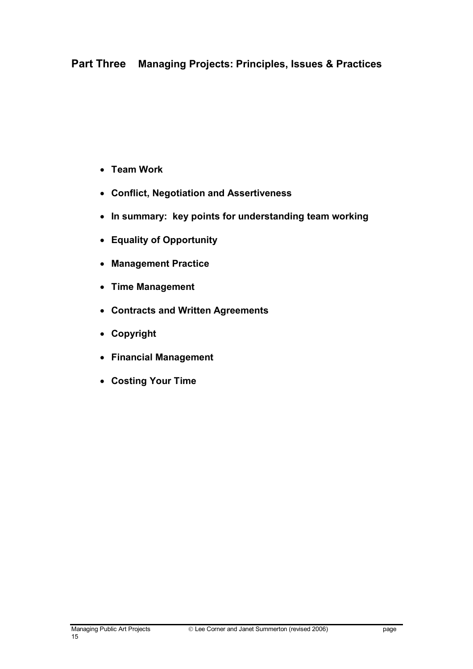- Team Work
- Conflict, Negotiation and Assertiveness
- In summary: key points for understanding team working
- Equality of Opportunity
- Management Practice
- Time Management
- Contracts and Written Agreements
- Copyright
- Financial Management
- Costing Your Time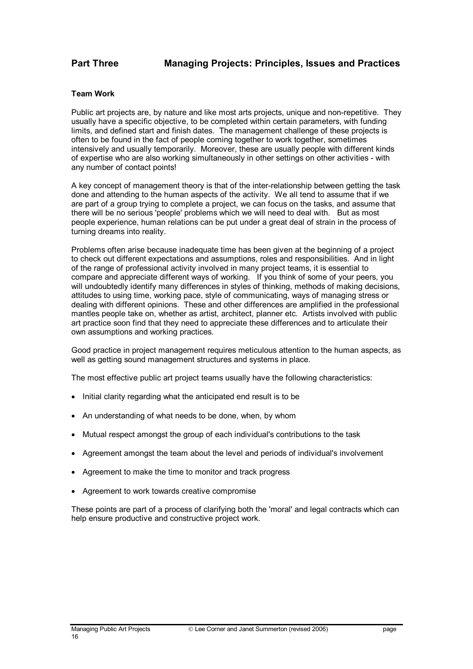#### Team Work

Public art projects are, by nature and like most arts projects, unique and non-repetitive. They usually have a specific objective, to be completed within certain parameters, with funding limits, and defined start and finish dates. The management challenge of these projects is often to be found in the fact of people coming together to work together, sometimes intensively and usually temporarily. Moreover, these are usually people with different kinds of expertise who are also working simultaneously in other settings on other activities - with any number of contact points!

A key concept of management theory is that of the inter-relationship between getting the task done and attending to the human aspects of the activity. We all tend to assume that if we are part of a group trying to complete a project, we can focus on the tasks, and assume that there will be no serious 'people' problems which we will need to deal with. But as most people experience, human relations can be put under a great deal of strain in the process of turning dreams into reality.

Problems often arise because inadequate time has been given at the beginning of a project to check out different expectations and assumptions, roles and responsibilities. And in light of the range of professional activity involved in many project teams, it is essential to compare and appreciate different ways of working. If you think of some of your peers, you will undoubtedly identify many differences in styles of thinking, methods of making decisions, attitudes to using time, working pace, style of communicating, ways of managing stress or dealing with different opinions. These and other differences are amplified in the professional mantles people take on, whether as artist, architect, planner etc. Artists involved with public art practice soon find that they need to appreciate these differences and to articulate their own assumptions and working practices.

Good practice in project management requires meticulous attention to the human aspects, as well as getting sound management structures and systems in place.

The most effective public art project teams usually have the following characteristics:

- Initial clarity regarding what the anticipated end result is to be
- An understanding of what needs to be done, when, by whom
- Mutual respect amongst the group of each individual's contributions to the task
- Agreement amongst the team about the level and periods of individual's involvement
- Agreement to make the time to monitor and track progress
- Agreement to work towards creative compromise

These points are part of a process of clarifying both the 'moral' and legal contracts which can help ensure productive and constructive project work.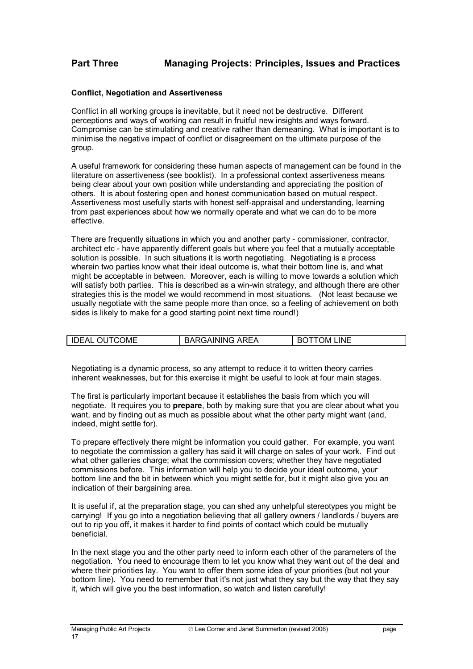#### Conflict, Negotiation and Assertiveness

Conflict in all working groups is inevitable, but it need not be destructive. Different perceptions and ways of working can result in fruitful new insights and ways forward. Compromise can be stimulating and creative rather than demeaning. What is important is to minimise the negative impact of conflict or disagreement on the ultimate purpose of the group.

A useful framework for considering these human aspects of management can be found in the literature on assertiveness (see booklist). In a professional context assertiveness means being clear about your own position while understanding and appreciating the position of others. It is about fostering open and honest communication based on mutual respect. Assertiveness most usefully starts with honest self-appraisal and understanding, learning from past experiences about how we normally operate and what we can do to be more effective.

There are frequently situations in which you and another party - commissioner, contractor, architect etc - have apparently different goals but where you feel that a mutually acceptable solution is possible. In such situations it is worth negotiating. Negotiating is a process wherein two parties know what their ideal outcome is, what their bottom line is, and what might be acceptable in between. Moreover, each is willing to move towards a solution which will satisfy both parties. This is described as a win-win strategy, and although there are other strategies this is the model we would recommend in most situations. (Not least because we usually negotiate with the same people more than once, so a feeling of achievement on both sides is likely to make for a good starting point next time round!)

| <b>IDEAL OUTCOME</b> | <b>BARGAINING AREA</b> | <b>BOTTOM LINE</b> |
|----------------------|------------------------|--------------------|

Negotiating is a dynamic process, so any attempt to reduce it to written theory carries inherent weaknesses, but for this exercise it might be useful to look at four main stages.

The first is particularly important because it establishes the basis from which you will negotiate. It requires you to prepare, both by making sure that you are clear about what you want, and by finding out as much as possible about what the other party might want (and, indeed, might settle for).

To prepare effectively there might be information you could gather. For example, you want to negotiate the commission a gallery has said it will charge on sales of your work. Find out what other galleries charge; what the commission covers; whether they have negotiated commissions before. This information will help you to decide your ideal outcome, your bottom line and the bit in between which you might settle for, but it might also give you an indication of their bargaining area.

It is useful if, at the preparation stage, you can shed any unhelpful stereotypes you might be carrying! If you go into a negotiation believing that all gallery owners / landlords / buyers are out to rip you off, it makes it harder to find points of contact which could be mutually beneficial.

In the next stage you and the other party need to inform each other of the parameters of the negotiation. You need to encourage them to let you know what they want out of the deal and where their priorities lay. You want to offer them some idea of your priorities (but not your bottom line). You need to remember that it's not just what they say but the way that they say it, which will give you the best information, so watch and listen carefully!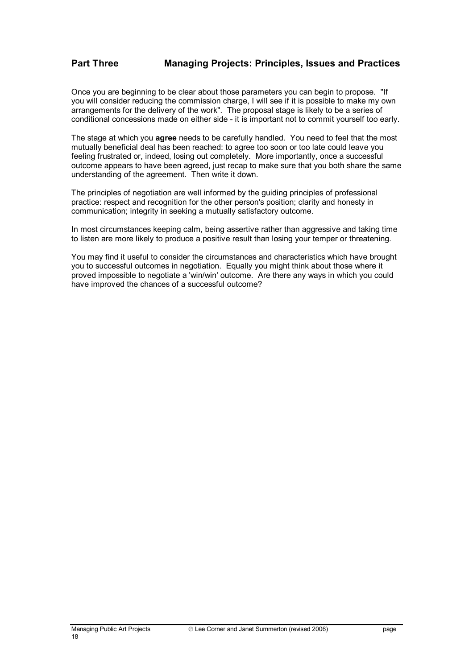Once you are beginning to be clear about those parameters you can begin to propose. "If you will consider reducing the commission charge, I will see if it is possible to make my own arrangements for the delivery of the work". The proposal stage is likely to be a series of conditional concessions made on either side - it is important not to commit yourself too early.

The stage at which you agree needs to be carefully handled. You need to feel that the most mutually beneficial deal has been reached: to agree too soon or too late could leave you feeling frustrated or, indeed, losing out completely. More importantly, once a successful outcome appears to have been agreed, just recap to make sure that you both share the same understanding of the agreement. Then write it down.

The principles of negotiation are well informed by the guiding principles of professional practice: respect and recognition for the other person's position; clarity and honesty in communication; integrity in seeking a mutually satisfactory outcome.

In most circumstances keeping calm, being assertive rather than aggressive and taking time to listen are more likely to produce a positive result than losing your temper or threatening.

You may find it useful to consider the circumstances and characteristics which have brought you to successful outcomes in negotiation. Equally you might think about those where it proved impossible to negotiate a 'win/win' outcome. Are there any ways in which you could have improved the chances of a successful outcome?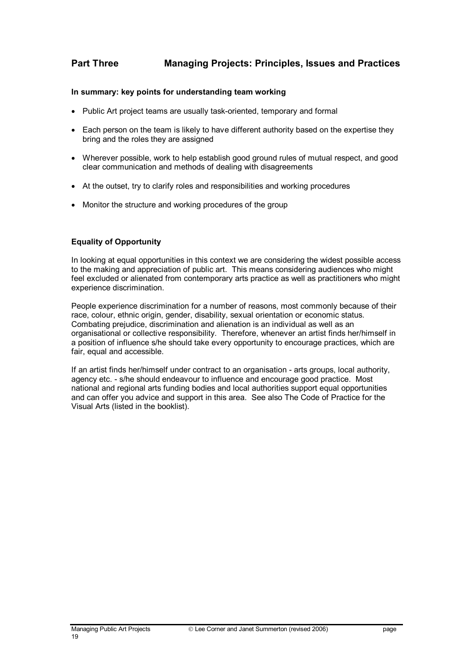#### In summary: key points for understanding team working

- Public Art project teams are usually task-oriented, temporary and formal
- Each person on the team is likely to have different authority based on the expertise they bring and the roles they are assigned
- Wherever possible, work to help establish good ground rules of mutual respect, and good clear communication and methods of dealing with disagreements
- At the outset, try to clarify roles and responsibilities and working procedures
- Monitor the structure and working procedures of the group

### Equality of Opportunity

In looking at equal opportunities in this context we are considering the widest possible access to the making and appreciation of public art. This means considering audiences who might feel excluded or alienated from contemporary arts practice as well as practitioners who might experience discrimination.

People experience discrimination for a number of reasons, most commonly because of their race, colour, ethnic origin, gender, disability, sexual orientation or economic status. Combating prejudice, discrimination and alienation is an individual as well as an organisational or collective responsibility. Therefore, whenever an artist finds her/himself in a position of influence s/he should take every opportunity to encourage practices, which are fair, equal and accessible.

If an artist finds her/himself under contract to an organisation - arts groups, local authority, agency etc. - s/he should endeavour to influence and encourage good practice. Most national and regional arts funding bodies and local authorities support equal opportunities and can offer you advice and support in this area. See also The Code of Practice for the Visual Arts (listed in the booklist).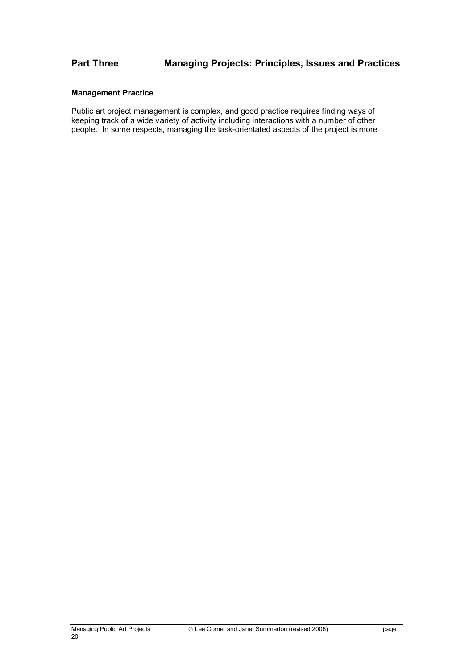### Management Practice

Public art project management is complex, and good practice requires finding ways of keeping track of a wide variety of activity including interactions with a number of other people. In some respects, managing the task-orientated aspects of the project is more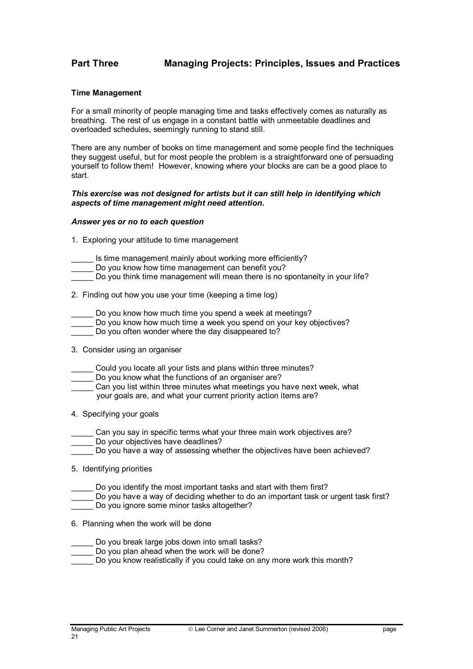#### Time Management

For a small minority of people managing time and tasks effectively comes as naturally as breathing. The rest of us engage in a constant battle with unmeetable deadlines and overloaded schedules, seemingly running to stand still.

There are any number of books on time management and some people find the techniques they suggest useful, but for most people the problem is a straightforward one of persuading yourself to follow them! However, knowing where your blocks are can be a good place to start.

#### This exercise was not designed for artists but it can still help in identifying which aspects of time management might need attention.

#### Answer yes or no to each question

- 1. Exploring your attitude to time management
- Is time management mainly about working more efficiently?
- Do you know how time management can benefit you?
- Do you think time management will mean there is no spontaneity in your life?
- 2. Finding out how you use your time (keeping a time log)
- Do you know how much time you spend a week at meetings?
- Do you know how much time a week you spend on your key objectives?
- Do you often wonder where the day disappeared to?
- 3. Consider using an organiser
- Could you locate all your lists and plans within three minutes?
- Do you know what the functions of an organiser are?
- Can you list within three minutes what meetings you have next week, what your goals are, and what your current priority action items are?
- 4. Specifying your goals
- Can you say in specific terms what your three main work objectives are?
- Do your objectives have deadlines?
- Do you have a way of assessing whether the objectives have been achieved?
- 5. Identifying priorities
- Do you identify the most important tasks and start with them first?
- Do you have a way of deciding whether to do an important task or urgent task first?
	- Do you ignore some minor tasks altogether?
- 6. Planning when the work will be done
- Do you break large jobs down into small tasks?
- Do you plan ahead when the work will be done?
- Do you know realistically if you could take on any more work this month?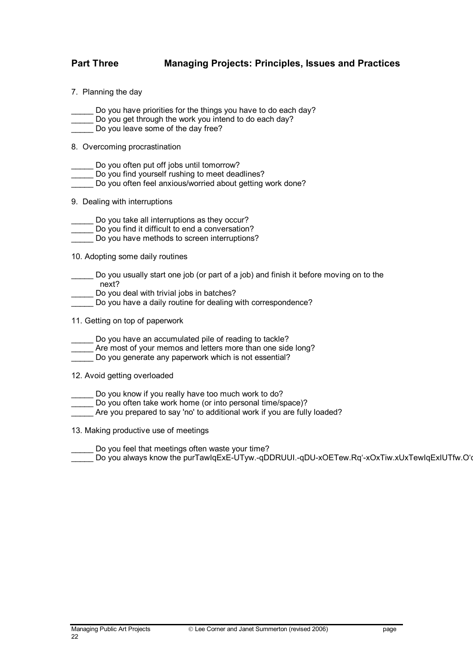- 7. Planning the day
- Do you have priorities for the things you have to do each day?
- Do you get through the work you intend to do each day?
- Do you leave some of the day free?
- 8. Overcoming procrastination
- Do you often put off jobs until tomorrow?
- Do you find yourself rushing to meet deadlines?
- Do you often feel anxious/worried about getting work done?
- 9. Dealing with interruptions
- Do you take all interruptions as they occur?
- Do you find it difficult to end a conversation?
- \_\_\_\_\_ Do you have methods to screen interruptions?
- 10. Adopting some daily routines
- Do you usually start one job (or part of a job) and finish it before moving on to the next?
- Do you deal with trivial jobs in batches?
- Do you have a daily routine for dealing with correspondence?
- 11. Getting on top of paperwork
- Do you have an accumulated pile of reading to tackle?
- \_\_\_\_\_ Are most of your memos and letters more than one side long?
- \_\_\_\_\_ Do you generate any paperwork which is not essential?
- 12. Avoid getting overloaded
- Do you know if you really have too much work to do?
- \_\_\_\_\_ Do you often take work home (or into personal time/space)?
- Are you prepared to say 'no' to additional work if you are fully loaded?
- 13. Making productive use of meetings
- Do you feel that meetings often waste your time?
- \_\_\_\_\_ Do you always know the purTawIqExE-UTyw.-qDDRUUI.-qDU-xOETew.Rq'-xOxTiw.xUxTewIqExIUTfw.O'q-OITowIqE'-DxTTawIqExE-UTtw.Rq'-'IUT w.Rq'-xOxTmw.'Dq-x'UDTewIqE'-DowIqE'Bqx-R rk me TdwIqE'-DxTiw.xUqxTrw.xTmw.'Dq-x p wamenos
- Do corTiw.xUqxEOxTtw.Rq'-'IUThwIqE'-DxT wTrw.-qUERODDTowIqE'-xOxTtw.Rq'-'ITewIqE'-DxTnwIqExI
- 9. eo comake ings
- Do youTyw.-qDDRURBTowIqExE-UTsw'Oq'IIxT w.Rq'-'IUTfw.O'q-ORDTkw.-qDUxDEBT w] X&I'ORqR'O1\_\_\_\_\_\_\_\_\_\_\_

Do Oys ka.xUqxEOxTlw.xUqxEOxcxTlw] X&I'OUqE1-1Xd-xOITiw.xUqxEOxTnwIqE'-DxTgwIqE'-DxTTyw.-JE'-DxTnwIqExE-UTIUTowIqE'-DIUT w.UqxEOxTnwIqE'-DxTRBTowIqExE-UTuwIqE'-xTtw.Rq'-'IUTiw.xUqxEOxTnwIqExE-UTgwIqE'I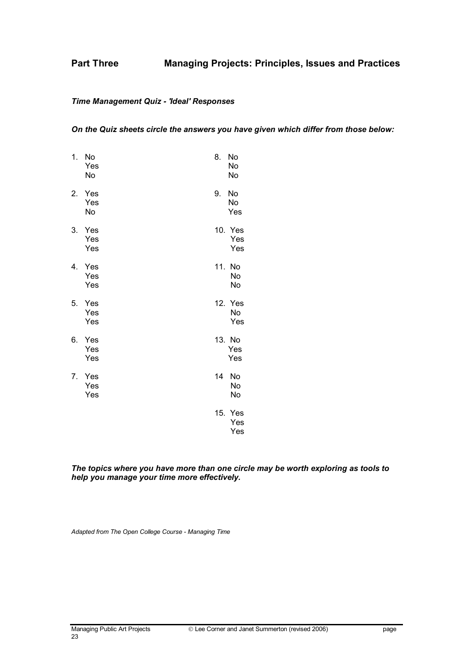### Time Management Quiz - 'Ideal' Responses

#### On the Quiz sheets circle the answers you have given which differ from those below:

| 1. | No<br>Yes<br>No   | 8.  | No<br>No<br>No        |
|----|-------------------|-----|-----------------------|
| 2. | Yes<br>Yes<br>No  | 9.  | No<br>No<br>Yes       |
| 3. | Yes<br>Yes<br>Yes |     | 10. Yes<br>Yes<br>Yes |
| 4. | Yes<br>Yes<br>Yes | 11. | No<br>No<br>No        |
| 5. | Yes<br>Yes<br>Yes |     | 12. Yes<br>No<br>Yes  |
| 6. | Yes<br>Yes<br>Yes |     | 13. No<br>Yes<br>Yes  |
| 7. | Yes<br>Yes<br>Yes | 14  | No<br>No<br>No        |
|    |                   |     | 15. Yes<br>Yes<br>Yes |

The topics where you have more than one circle may be worth exploring as tools to help you manage your time more effectively.

Adapted from The Open College Course - Managing Time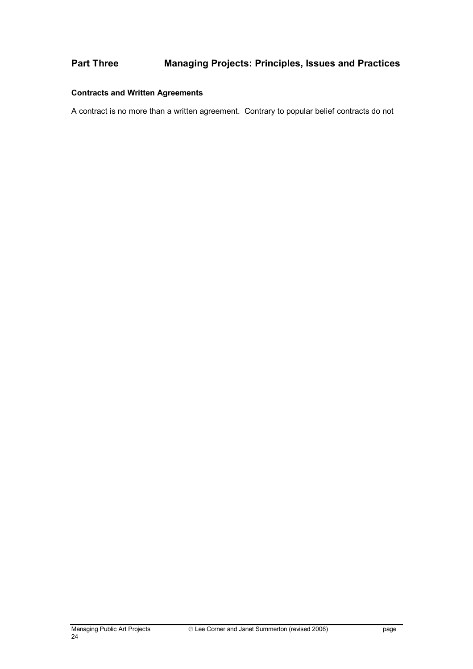# Contracts and Written Agreements

A contract is no more than a written agreement. Contrary to popular belief contracts do not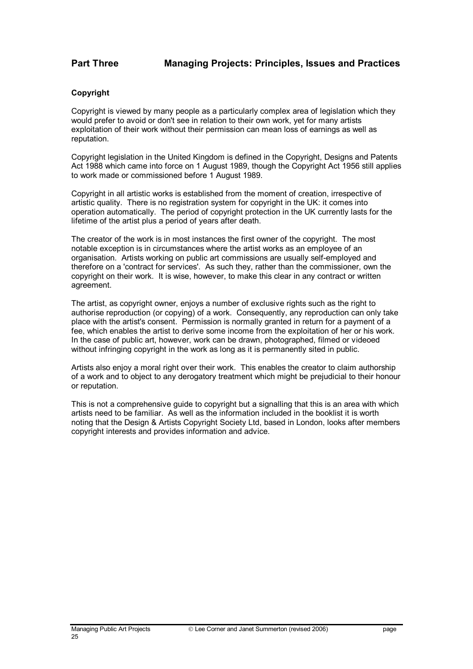### **Copyright**

Copyright is viewed by many people as a particularly complex area of legislation which they would prefer to avoid or don't see in relation to their own work, yet for many artists exploitation of their work without their permission can mean loss of earnings as well as reputation.

Copyright legislation in the United Kingdom is defined in the Copyright, Designs and Patents Act 1988 which came into force on 1 August 1989, though the Copyright Act 1956 still applies to work made or commissioned before 1 August 1989.

Copyright in all artistic works is established from the moment of creation, irrespective of artistic quality. There is no registration system for copyright in the UK: it comes into operation automatically. The period of copyright protection in the UK currently lasts for the lifetime of the artist plus a period of years after death.

The creator of the work is in most instances the first owner of the copyright. The most notable exception is in circumstances where the artist works as an employee of an organisation. Artists working on public art commissions are usually self-employed and therefore on a 'contract for services'. As such they, rather than the commissioner, own the copyright on their work. It is wise, however, to make this clear in any contract or written agreement.

The artist, as copyright owner, enjoys a number of exclusive rights such as the right to authorise reproduction (or copying) of a work. Consequently, any reproduction can only take place with the artist's consent. Permission is normally granted in return for a payment of a fee, which enables the artist to derive some income from the exploitation of her or his work. In the case of public art, however, work can be drawn, photographed, filmed or videoed without infringing copyright in the work as long as it is permanently sited in public.

Artists also enjoy a moral right over their work. This enables the creator to claim authorship of a work and to object to any derogatory treatment which might be prejudicial to their honour or reputation.

This is not a comprehensive guide to copyright but a signalling that this is an area with which artists need to be familiar. As well as the information included in the booklist it is worth noting that the Design & Artists Copyright Society Ltd, based in London, looks after members copyright interests and provides information and advice.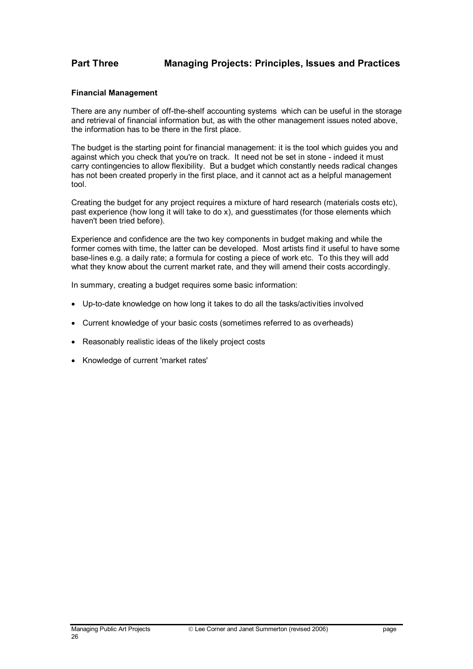#### Financial Management

There are any number of off-the-shelf accounting systems which can be useful in the storage and retrieval of financial information but, as with the other management issues noted above, the information has to be there in the first place.

The budget is the starting point for financial management: it is the tool which guides you and against which you check that you're on track. It need not be set in stone - indeed it must carry contingencies to allow flexibility. But a budget which constantly needs radical changes has not been created properly in the first place, and it cannot act as a helpful management tool.

Creating the budget for any project requires a mixture of hard research (materials costs etc), past experience (how long it will take to do x), and guesstimates (for those elements which haven't been tried before).

Experience and confidence are the two key components in budget making and while the former comes with time, the latter can be developed. Most artists find it useful to have some base-lines e.g. a daily rate; a formula for costing a piece of work etc. To this they will add what they know about the current market rate, and they will amend their costs accordingly.

In summary, creating a budget requires some basic information:

- Up-to-date knowledge on how long it takes to do all the tasks/activities involved
- Current knowledge of your basic costs (sometimes referred to as overheads)
- Reasonably realistic ideas of the likely project costs
- Knowledge of current 'market rates'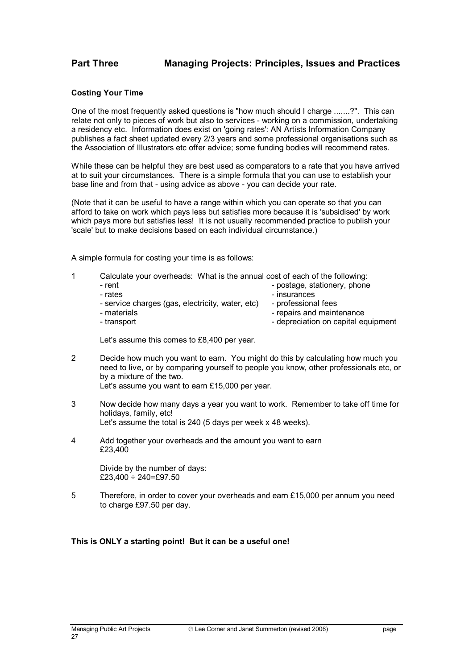#### Costing Your Time

One of the most frequently asked questions is "how much should I charge .......?". This can relate not only to pieces of work but also to services - working on a commission, undertaking a residency etc. Information does exist on 'going rates': AN Artists Information Company publishes a fact sheet updated every 2/3 years and some professional organisations such as the Association of Illustrators etc offer advice; some funding bodies will recommend rates.

While these can be helpful they are best used as comparators to a rate that you have arrived at to suit your circumstances. There is a simple formula that you can use to establish your base line and from that - using advice as above - you can decide your rate.

(Note that it can be useful to have a range within which you can operate so that you can afford to take on work which pays less but satisfies more because it is 'subsidised' by work which pays more but satisfies less! It is not usually recommended practice to publish your 'scale' but to make decisions based on each individual circumstance.)

A simple formula for costing your time is as follows:

- 1 Calculate your overheads: What is the annual cost of each of the following:
- rent postage, stationery, phone - rates  $\overline{\phantom{a}}$  - insurances - service charges (gas, electricity, water, etc) - professional fees<br>- materials - materials -- repairs and maintenance
	-

- transport  $\blacksquare$ 

Let's assume this comes to £8,400 per year.

- 2 Decide how much you want to earn. You might do this by calculating how much you need to live, or by comparing yourself to people you know, other professionals etc, or by a mixture of the two.
	- Let's assume you want to earn £15,000 per year.
- 3 Now decide how many days a year you want to work. Remember to take off time for holidays, family, etc! Let's assume the total is 240 (5 days per week x 48 weeks).
- 4 Add together your overheads and the amount you want to earn £23,400

 Divide by the number of days:  $£23,400 \div 240 = £97.50$ 

5 Therefore, in order to cover your overheads and earn £15,000 per annum you need to charge £97.50 per day.

#### This is ONLY a starting point! But it can be a useful one!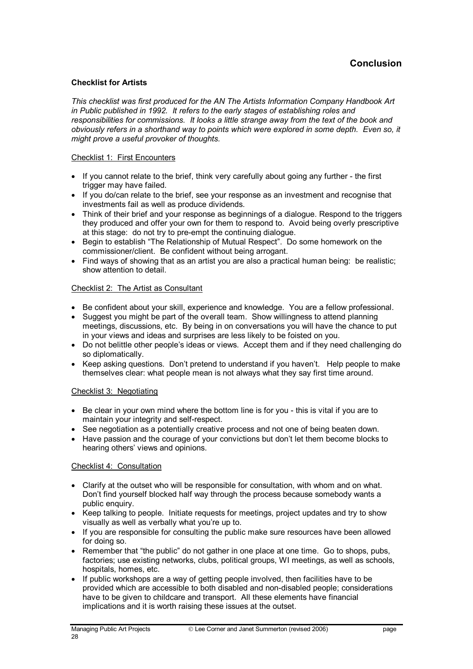#### Checklist for Artists

This checklist was first produced for the AN The Artists Information Company Handbook Art in Public published in 1992. It refers to the early stages of establishing roles and responsibilities for commissions. It looks a little strange away from the text of the book and obviously refers in a shorthand way to points which were explored in some depth. Even so, it might prove a useful provoker of thoughts.

#### Checklist 1: First Encounters

- If you cannot relate to the brief, think very carefully about going any further the first trigger may have failed.
- If you do/can relate to the brief, see your response as an investment and recognise that investments fail as well as produce dividends.
- Think of their brief and your response as beginnings of a dialogue. Respond to the triggers they produced and offer your own for them to respond to. Avoid being overly prescriptive at this stage: do not try to pre-empt the continuing dialogue.
- Begin to establish "The Relationship of Mutual Respect". Do some homework on the commissioner/client. Be confident without being arrogant.
- Find ways of showing that as an artist you are also a practical human being: be realistic; show attention to detail.

#### Checklist 2: The Artist as Consultant

- Be confident about your skill, experience and knowledge. You are a fellow professional.
- Suggest you might be part of the overall team. Show willingness to attend planning meetings, discussions, etc. By being in on conversations you will have the chance to put in your views and ideas and surprises are less likely to be foisted on you.
- Do not belittle other people's ideas or views. Accept them and if they need challenging do so diplomatically.
- Keep asking questions. Don't pretend to understand if you haven't. Help people to make themselves clear: what people mean is not always what they say first time around.

#### Checklist 3: Negotiating

- Be clear in your own mind where the bottom line is for you this is vital if you are to maintain your integrity and self-respect.
- See negotiation as a potentially creative process and not one of being beaten down.
- Have passion and the courage of your convictions but don't let them become blocks to hearing others' views and opinions.

#### Checklist 4: Consultation

- Clarify at the outset who will be responsible for consultation, with whom and on what. Don't find yourself blocked half way through the process because somebody wants a public enquiry.
- Keep talking to people. Initiate requests for meetings, project updates and try to show visually as well as verbally what you're up to.
- If you are responsible for consulting the public make sure resources have been allowed for doing so.
- Remember that "the public" do not gather in one place at one time. Go to shops, pubs, factories; use existing networks, clubs, political groups, WI meetings, as well as schools, hospitals, homes, etc.
- If public workshops are a way of getting people involved, then facilities have to be provided which are accessible to both disabled and non-disabled people; considerations have to be given to childcare and transport. All these elements have financial implications and it is worth raising these issues at the outset.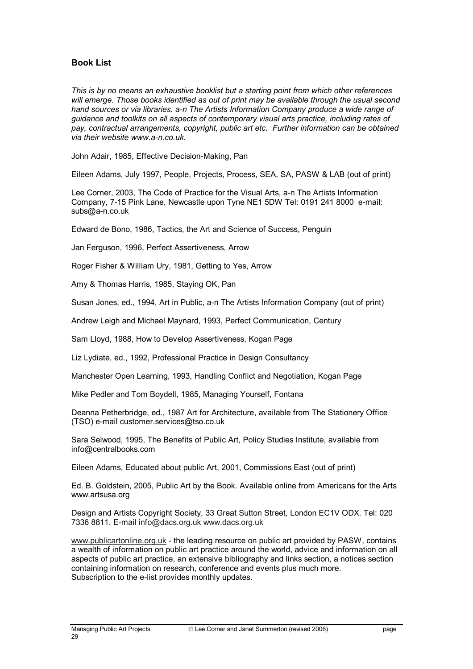### Book List

This is by no means an exhaustive booklist but a starting point from which other references will emerge. Those books identified as out of print may be available through the usual second hand sources or via libraries. a-n The Artists Information Company produce a wide range of guidance and toolkits on all aspects of contemporary visual arts practice, including rates of pay, contractual arrangements, copyright, public art etc. Further information can be obtained via their website www.a-n.co.uk.

John Adair, 1985, Effective Decision-Making, Pan

Eileen Adams, July 1997, People, Projects, Process, SEA, SA, PASW & LAB (out of print)

Lee Corner, 2003, The Code of Practice for the Visual Arts, a-n The Artists Information Company, 7-15 Pink Lane, Newcastle upon Tyne NE1 5DW Tel: 0191 241 8000 e-mail: subs@a-n.co.uk

Edward de Bono, 1986, Tactics, the Art and Science of Success, Penguin

Jan Ferguson, 1996, Perfect Assertiveness, Arrow

Roger Fisher & William Ury, 1981, Getting to Yes, Arrow

Amy & Thomas Harris, 1985, Staying OK, Pan

Susan Jones, ed., 1994, Art in Public, a-n The Artists Information Company (out of print)

Andrew Leigh and Michael Maynard, 1993, Perfect Communication, Century

Sam Lloyd, 1988, How to Develop Assertiveness, Kogan Page

Liz Lydiate, ed., 1992, Professional Practice in Design Consultancy

Manchester Open Learning, 1993, Handling Conflict and Negotiation, Kogan Page

Mike Pedler and Tom Boydell, 1985, Managing Yourself, Fontana

Deanna Petherbridge, ed., 1987 Art for Architecture, available from The Stationery Office (TSO) e-mail customer.services@tso.co.uk

Sara Selwood, 1995, The Benefits of Public Art, Policy Studies Institute, available from info@centralbooks.com

Eileen Adams, Educated about public Art, 2001, Commissions East (out of print)

Ed. B. Goldstein, 2005, Public Art by the Book. Available online from Americans for the Arts www.artsusa.org

Design and Artists Copyright Society, 33 Great Sutton Street, London EC1V ODX. Tel: 020 7336 8811. E-mail info@dacs.org.uk www.dacs.org.uk

www.publicartonline.org.uk - the leading resource on public art provided by PASW, contains a wealth of information on public art practice around the world, advice and information on all aspects of public art practice, an extensive bibliography and links section, a notices section containing information on research, conference and events plus much more. Subscription to the e-list provides monthly updates.